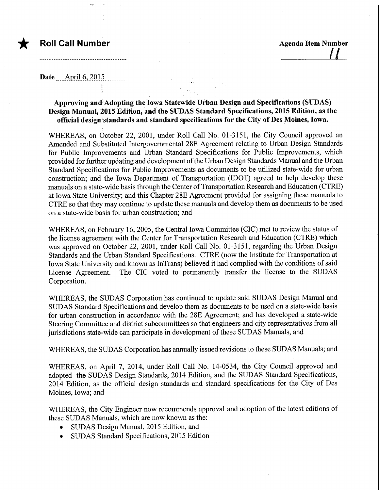Date ... April 6, 2015

## Approving and Adopting the Iowa Statewide Urban Design and Specifications (SUDAS) Design Manual, 2015 Edition, arid the SUDAS Standard Specifications, 2015 Edition, as the official design 'standards and standard specifications for the City of Des Moines, Iowa.

WHEREAS, on October 22, 2001, under Roll Call No. 01-3151, the City Council approved an Amended and Substituted Intergovernmental 28E Agreement relating to Urban Design Standards for Public Improvements and Urban Standard Specifications for Public Improvements, which provided for further updating and development of the Urban Design Standards Manual and the Urban Standard Specifications for Public Improvements as documents to be utilized state-wide for urban construction; and the Iowa Department of Transportation (IDOT) agreed to help develop these manuals on a state-wide basis through the Center of Transportation Research and Education (CTRE) at Iowa State University; and this Chapter 28E Agreement provided for assigning these manuals to CTRE so that they may continue to update these manuals and develop them as documents to be used on a state-wide basis for urban constmction; and

WHEREAS, on February 16, 2005, the Central Iowa Committee (CIC) met to review the status of the license agreement with the Center for Transportation Research and Education (CTRE) which was approved on October 22, 2001, under Roll Call No. 01-3151, regarding the Urban Design Standards and the Urban Standard Specifications. CTRE (now the Institute for Transportation at Iowa State University and known as InTrans) believed it had complied with the conditions of said License Agreement. The CIC voted to permanently transfer the license to the SUDAS Corporation.

WHEREAS, the SUDAS Corporation has continued to update said SUDAS Design Manual and SUDAS Standard Specifications and develop them as documents to be used on a state-wide basis for urban construction in accordance with the 28E Agreement; and has developed a state-wide Steering Committee and district subcommittees so that engineers and city representatives from all jurisdictions state-wide can participate in development of these SUDAS Manuals, and

WHEREAS, the SUDAS Corporation has annually issued revisions to these SUDAS Manuals; and

WHEREAS, on April 7, 2014, under Roll Call No. 14-0534, the City Council approved and adopted the SUDAS Design Standards, 2014 Edition, and the SUDAS Standard Specifications, 2014 Edition, as the official design standards and standard specifications for the City of Des Moines, Iowa; and

WHEREAS, the City Engineer now recommends approval and adoption of the latest editions of these SUDAS Manuals, which are now known as the:

- SUDAS Design Manual, 2015 Edition, and
- SUDAS Standard Specifications, 2015 Edition